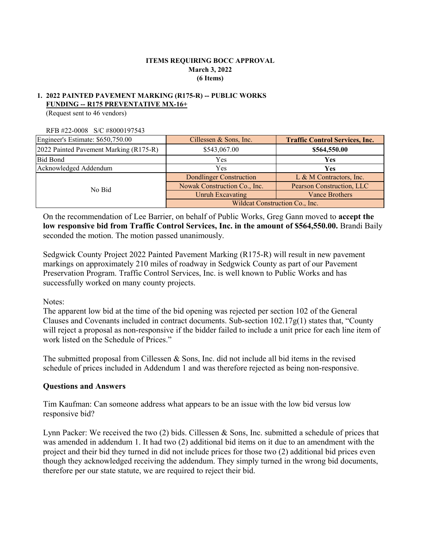## **ITEMS REQUIRING BOCC APPROVAL March 3, 2022 (6 Items)**

# **1. 2022 PAINTED PAVEMENT MARKING (R175-R) -- PUBLIC WORKS FUNDING -- R175 PREVENTATIVE MX-16+**

(Request sent to 46 vendors)

RFB #22-0008 S/C #8000197543

| Engineer's Estimate: \$650,750.00      | Cillessen & Sons, Inc.         | <b>Traffic Control Services, Inc.</b> |  |
|----------------------------------------|--------------------------------|---------------------------------------|--|
| 2022 Painted Pavement Marking (R175-R) | \$543,067.00                   | \$564,550.00                          |  |
| <b>Bid Bond</b>                        | Yes                            | <b>Yes</b>                            |  |
| Acknowledged Addendum                  | Yes                            | <b>Yes</b>                            |  |
|                                        | <b>Dondlinger Construction</b> | L & M Contractors, Inc.               |  |
| No Bid                                 | Nowak Construction Co., Inc.   | Pearson Construction, LLC             |  |
|                                        | Unruh Excavating               | <b>Vance Brothers</b>                 |  |
|                                        | Wildcat Construction Co., Inc. |                                       |  |

On the recommendation of Lee Barrier, on behalf of Public Works, Greg Gann moved to **accept the low responsive bid from Traffic Control Services, Inc. in the amount of \$564,550.00.** Brandi Baily seconded the motion. The motion passed unanimously.

Sedgwick County Project 2022 Painted Pavement Marking (R175-R) will result in new pavement markings on approximately 210 miles of roadway in Sedgwick County as part of our Pavement Preservation Program. Traffic Control Services, Inc. is well known to Public Works and has successfully worked on many county projects.

Notes:

The apparent low bid at the time of the bid opening was rejected per section 102 of the General Clauses and Covenants included in contract documents. Sub-section  $102.17g(1)$  states that, "County" will reject a proposal as non-responsive if the bidder failed to include a unit price for each line item of work listed on the Schedule of Prices."

The submitted proposal from Cillessen  $\&$  Sons, Inc. did not include all bid items in the revised schedule of prices included in Addendum 1 and was therefore rejected as being non-responsive.

# **Questions and Answers**

Tim Kaufman: Can someone address what appears to be an issue with the low bid versus low responsive bid?

Lynn Packer: We received the two (2) bids. Cillessen & Sons, Inc. submitted a schedule of prices that was amended in addendum 1. It had two (2) additional bid items on it due to an amendment with the project and their bid they turned in did not include prices for those two (2) additional bid prices even though they acknowledged receiving the addendum. They simply turned in the wrong bid documents, therefore per our state statute, we are required to reject their bid.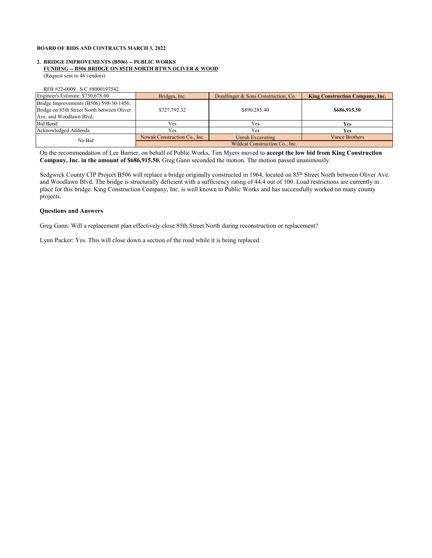## **FUNDING -- B506 BRIDGE ON 85TH NORTH BTWN OLIVER & WOOD 2. BRIDGE IMPROVEMENTS (B506) -- PUBLIC WORKS**

(Request sent to 46 vendors)

| RFB #22-0009 S/C #8000197542               |                                |                                     |                                 |  |
|--------------------------------------------|--------------------------------|-------------------------------------|---------------------------------|--|
| Engineer's Estimate: \$750,678.00          | Bridges, Inc.                  | Dondlinger & Sons Construction, Co. | King Construction Company, Inc. |  |
| Bridge Improvements (B506) 598-30-1456;    |                                |                                     |                                 |  |
| Bridge on 85th Street North between Oliver | \$727,792.32                   | \$890,285.40                        | \$686,915.50                    |  |
| Ave. and Woodlawn Blvd.                    |                                |                                     |                                 |  |
| <b>Bid Bond</b>                            | Yes                            | Yes                                 | Yes                             |  |
| Acknowledged Addenda                       | Yes                            | Yes                                 | Yes                             |  |
| No Bid                                     | Nowak Construction Co., Inc.   | Unruh Excavating                    | <b>Vance Brothers</b>           |  |
|                                            | Wildcat Construction Co., Inc. |                                     |                                 |  |

On the recommendation of Lee Barrier, on behalf of Public Works, Tim Myers moved to **accept the low bid from King Construction Company, Inc. in the amount of \$686,915.50.** Greg Gann seconded the motion. The motion passed unanimously.

Sedgwick County CIP Project B506 will replace a bridge originally constructed in 1964, located on 85th Street North between Oliver Ave. and Woodlawn Blvd. The bridge is structurally deficient with a sufficiency rating of 44.4 out of 100. Load restrictions are currently in place for this bridge. King Construction Company, Inc. is well known to Public Works and has successfully worked on many county projects.

## **Questions and Answers**

Greg Gann: Will a replacement plan effectively close 85th Street North during reconstruction or replacement?

Lynn Packer: Yes. This will close down a section of the road while it is being replaced.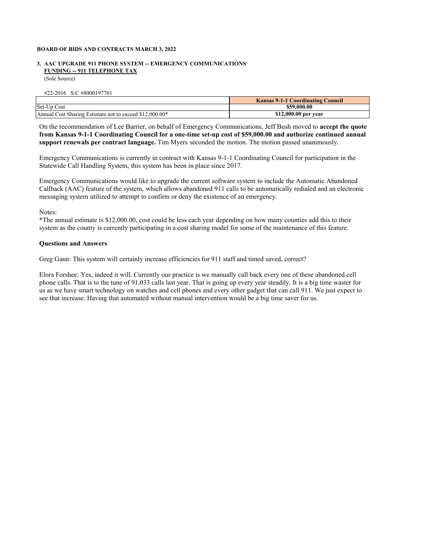## **FUNDING -- 911 TELEPHONE TAX 3. AAC UPGRADE 911 PHONE SYSTEM -- EMERGENCY COMMUNICATIONS**

(Sole Source)

#### #22-2016 S/C #8000197701

|                                                         | <b>Kansas 9-1-1 Coordinating Council</b> |
|---------------------------------------------------------|------------------------------------------|
| Set-Up Cost                                             | \$59,000.00                              |
| Annual Cost Sharing Estimate not to exceed \$12,000.00* | \$12,000.00 per year                     |

On the recommendation of Lee Barrier, on behalf of Emergency Communications, Jeff Bush moved to **accept the quote from Kansas 9-1-1 Coordinating Council for a one-time set-up cost of \$59,000.00 and authorize continued annual support renewals per contract language.** Tim Myers seconded the motion. The motion passed unanimously.

Emergency Communications is currently in contract with Kansas 9-1-1 Coordinating Council for participation in the Statewide Call Handling System, this system has been in place since 2017.

Emergency Communications would like to upgrade the current software system to include the Automatic Abandoned Callback (AAC) feature of the system, which allows abandoned 911 calls to be automatically redialed and an electronic messaging system utilized to attempt to confirm or deny the existence of an emergency.

Notes:

\*The annual estimate is \$12,000.00, cost could be less each year depending on how many counties add this to their system as the county is currently participating in a cost sharing model for some of the maintenance of this feature.

## **Questions and Answers**

Greg Gann: This system will certainly increase efficiencies for 911 staff and timed saved, correct?

Elora Forshee: Yes, indeed it will. Currently our practice is we manually call back every one of these abandoned cell phone calls. That is to the tune of 91,033 calls last year. That is going up every year steadily. It is a big time waster for us as we have smart technology on watches and cell phones and every other gadget that can call 911. We just expect to see that increase. Having that automated without manual intervention would be a big time saver for us.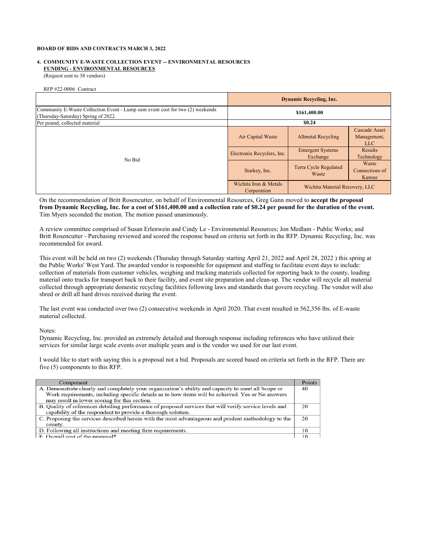#### **4. COMMUNITY E-WASTE COLLECTION EVENT -- ENVIRONMENTAL RESOURCES FUNDING - ENVIRONMENTAL RESOURCES**

(Request sent to 38 vendors)

| RFP #22-0006 Contract                                                                                                |                                      |                                     |                                                   |
|----------------------------------------------------------------------------------------------------------------------|--------------------------------------|-------------------------------------|---------------------------------------------------|
|                                                                                                                      | <b>Dynamic Recycling, Inc.</b>       |                                     |                                                   |
| Community E-Waste Collection Event - Lump sum event cost for two (2) weekends<br>(Thursday-Saturday) Spring of 2022. |                                      | \$161,400.00                        |                                                   |
| Per pound, collected material                                                                                        | \$0.24                               |                                     |                                                   |
|                                                                                                                      | Air Capital Waste                    | <b>Allmetal Recycling</b>           | <b>Cascade Asset</b><br>Management,<br><b>LLC</b> |
| No Bid                                                                                                               | Electronix Recyclers, Inc.           | <b>Emergent Systems</b><br>Exchange | Results<br>Technology                             |
|                                                                                                                      | Starkey, Inc.                        | Terra Cycle Regulated<br>Waste      | Waste<br>Connections of<br>Kansas                 |
|                                                                                                                      | Wichita Iron & Metals<br>Corporation | Wichita Material Recovery, LLC      |                                                   |

On the recommendation of Britt Rosencutter, on behalf of Environmental Resources, Greg Gann moved to **accept the proposal from Dynamic Recycling, Inc. for a cost of \$161,400.00 and a collection rate of \$0.24 per pound for the duration of the event.**  Tim Myers seconded the motion. The motion passed unanimously.

A review committee comprised of Susan Erlenwein and Cindy Le - Environmental Resources; Jon Medlam - Public Works; and Britt Rosencutter - Purchasing reviewed and scored the response based on criteria set forth in the RFP. Dynamic Recycling, Inc. was recommended for award.

This event will be held on two (2) weekends (Thursday through Saturday starting April 21, 2022 and April 28, 2022 ) this spring at the Public Works' West Yard. The awarded vendor is responsible for equipment and staffing to facilitate event days to include: collection of materials from customer vehicles, weighing and tracking materials collected for reporting back to the county, loading material onto trucks for transport back to their facility, and event site preparation and clean-up. The vendor will recycle all material collected through appropriate domestic recycling facilities following laws and standards that govern recycling. The vendor will also shred or drill all hard drives received during the event.

The last event was conducted over two (2) consecutive weekends in April 2020. That event resulted in 562,356 lbs. of E-waste material collected.

#### Notes:

Dynamic Recycling, Inc. provided an extremely detailed and thorough response including references who have utilized their services for similar large scale events over multiple years and is the vendor we used for our last event.

I would like to start with saying this is a proposal not a bid. Proposals are scored based on criteria set forth in the RFP. There are five (5) components to this RFP.

| Component                                                                                               | Points |
|---------------------------------------------------------------------------------------------------------|--------|
| A. Demonstrate clearly and completely your organization's ability and capacity to meet all Scope or     | 40     |
| Work requirements, including specific details as to how items will be achieved. Yes or No answers       |        |
| may result in lower scoring for this section.                                                           |        |
| B. Quality of references detailing performance of proposed services that will verify service levels and | 20     |
| capability of the respondent to provide a thorough solution.                                            |        |
| C. Proposing the services described herein with the most advantageous and prudent methodology to the    | 20     |
| county.                                                                                                 |        |
| D. Following all instructions and meeting firm requirements.                                            | 10     |
| E. Overall cost of the proposal*                                                                        | 10     |
|                                                                                                         |        |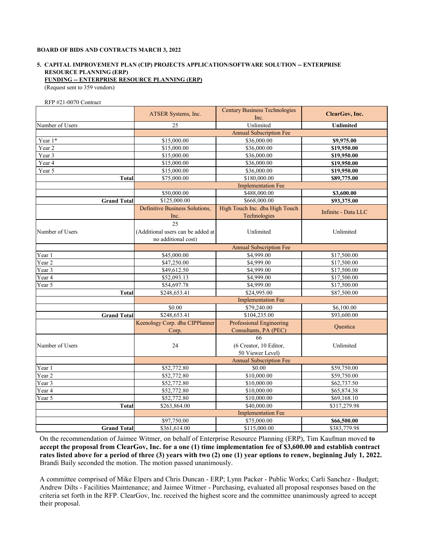## **FUNDING -- ENTERPRISE RESOURCE PLANNING (ERP) 5. CAPITAL IMPROVEMENT PLAN (CIP) PROJECTS APPLICATION/SOFTWARE SOLUTION -- ENTERPRISE RESOURCE PLANNING (ERP)**

(Request sent to 359 vendors)

RFP #21-0070 Contract

|                    | ATSER Systems, Inc.               | <b>Century Business Technologies</b><br>Inc. | ClearGov, Inc.      |  |
|--------------------|-----------------------------------|----------------------------------------------|---------------------|--|
| Number of Users    | 25                                | Unlimited                                    | <b>Unlimited</b>    |  |
|                    | <b>Annual Subscription Fee</b>    |                                              |                     |  |
| Year 1*            | \$15,000.00                       | \$36,000.00                                  | \$9,975.00          |  |
| Year 2             | \$15,000.00                       | \$36,000.00                                  | \$19,950.00         |  |
| Year 3             | \$15,000.00                       | \$36,000.00                                  | \$19,950.00         |  |
| Year 4             | \$15,000.00                       | \$36,000.00                                  | \$19,950.00         |  |
| Year 5             | \$15,000.00                       | \$36,000.00                                  | \$19,950.00         |  |
| Total              | \$75,000.00                       | \$180,000.00                                 | \$89,775.00         |  |
|                    |                                   | <b>Implementation Fee</b>                    |                     |  |
|                    | \$50,000.00                       | \$488,000.00                                 | \$3,600.00          |  |
| <b>Grand Total</b> | \$125,000.00                      | \$668,000.00                                 | \$93,375.00         |  |
|                    | Definitive Business Solutions,    | High Touch Inc. dba High Touch               | Infinite - Data LLC |  |
|                    | Inc.                              | Technologies                                 |                     |  |
|                    | 25                                |                                              |                     |  |
| Number of Users    | (Additional users can be added at | Unlimited                                    | Unlimited           |  |
|                    | no additional cost)               |                                              |                     |  |
|                    |                                   | <b>Annual Subscription Fee</b>               |                     |  |
| Year 1             | \$45,000.00                       | \$4,999.00                                   | \$17,500.00         |  |
| Year 2             | \$47,250.00                       | \$4,999.00                                   | \$17,500.00         |  |
| Year 3             | \$49,612.50                       | \$4,999.00                                   | \$17,500.00         |  |
| Year 4             | \$52,093.13                       | \$4,999.00                                   | \$17,500.00         |  |
| Year 5             | \$54,697.78                       | \$4,999.00                                   | \$17,500.00         |  |
| <b>Total</b>       | \$24,995.00<br>\$248,653.41       |                                              | \$87,500.00         |  |
|                    | <b>Implementation Fee</b>         |                                              |                     |  |
|                    | \$0.00                            | \$79,240.00                                  | \$6,100.00          |  |
| <b>Grand Total</b> | \$248,653.41                      | \$104,235.00                                 | \$93,600.00         |  |
|                    | Keenology Corp. dba CIPPlanner    | Professional Engineering                     |                     |  |
|                    | Corp.                             | Consultants, PA (PEC)                        | <b>Ouestica</b>     |  |
|                    |                                   | 66                                           |                     |  |
| Number of Users    | 24                                | (6 Creator, 10 Editor,                       | Unlimited           |  |
|                    | 50 Viewer Level)                  |                                              |                     |  |
|                    |                                   | <b>Annual Subscription Fee</b>               |                     |  |
| Year 1             | \$52,772.80                       | \$0.00                                       | \$59,750.00         |  |
| Year 2             | \$52,772.80                       | \$10,000.00                                  | \$59,750.00         |  |
| Year 3             | \$52,772.80                       | \$10,000.00                                  | \$62,737.50         |  |
| Year 4             | \$52,772.80                       | \$10,000.00                                  | \$65,874.38         |  |
| Year 5             | \$52,772.80                       | \$10,000.00                                  | \$69,168.10         |  |
| <b>Total</b>       | \$263,864.00                      | \$40,000.00                                  | \$317,279.98        |  |
|                    | <b>Implementation Fee</b>         |                                              |                     |  |
|                    | \$97,750.00                       | \$75,000.00                                  | \$66,500.00         |  |
| <b>Grand Total</b> | \$361,614.00                      | \$115,000.00                                 | \$383,779.98        |  |

On the recommendation of Jaimee Witmer, on behalf of Enterprise Resource Planning (ERP), Tim Kaufman moved **to accept the proposal from ClearGov, Inc. for a one (1) time implementation fee of \$3,600.00 and establish contract rates listed above for a period of three (3) years with two (2) one (1) year options to renew, beginning July 1, 2022.**  Brandi Baily seconded the motion. The motion passed unanimously.

A committee comprised of Mike Elpers and Chris Duncan - ERP; Lynn Packer - Public Works; Carli Sanchez - Budget; Andrew Dilts - Facilities Maintenance; and Jaimee Witmer - Purchasing, evaluated all proposal responses based on the criteria set forth in the RFP. ClearGov, Inc. received the highest score and the committee unanimously agreed to accept their proposal.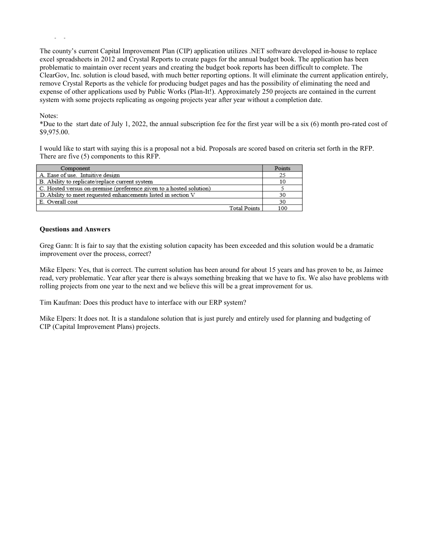The county's current Capital Improvement Plan (CIP) application utilizes .NET software developed in-house to replace excel spreadsheets in 2012 and Crystal Reports to create pages for the annual budget book. The application has been problematic to maintain over recent years and creating the budget book reports has been difficult to complete. The ClearGov, Inc. solution is cloud based, with much better reporting options. It will eliminate the current application entirely, remove Crystal Reports as the vehicle for producing budget pages and has the possibility of eliminating the need and expense of other applications used by Public Works (Plan-It!). Approximately 250 projects are contained in the current system with some projects replicating as ongoing projects year after year without a completion date.

Notes:

pp of the

\*Due to the start date of July 1, 2022, the annual subscription fee for the first year will be a six (6) month pro-rated cost of \$9,975.00.

I would like to start with saying this is a proposal not a bid. Proposals are scored based on criteria set forth in the RFP. There are five (5) components to this RFP.

| Component                                                           | Points |
|---------------------------------------------------------------------|--------|
| A. Ease of use. Intuitive design                                    | 25     |
| B. Ability to replicate/replace current system                      | 10     |
| C. Hosted versus on-premise (preference given to a hosted solution) |        |
| D. Ability to meet requested enhancements listed in section V       | 30     |
| E. Overall cost                                                     | 30     |
| Total Points                                                        | 100    |

# **Questions and Answers Questions and Answers**

Greg Gann: It is fair to say that the existing solution capacity has been exceeded and this solution would be a dramatic improvement over the process, correct?

Mike Elpers: Yes, that is correct. The current solution has been around for about 15 years and has proven to be, as Jaimee read, very problematic. Year after year there is always something breaking that we have to fix. We also have problems with rolling projects from one year to the next and we believe this will be a great improvement for us.

Tim Kaufman: Does this product have to interface with our ERP system?

Mike Elpers: It does not. It is a standalone solution that is just purely and entirely used for planning and budgeting of CIP (Capital Improvement Plans) projects.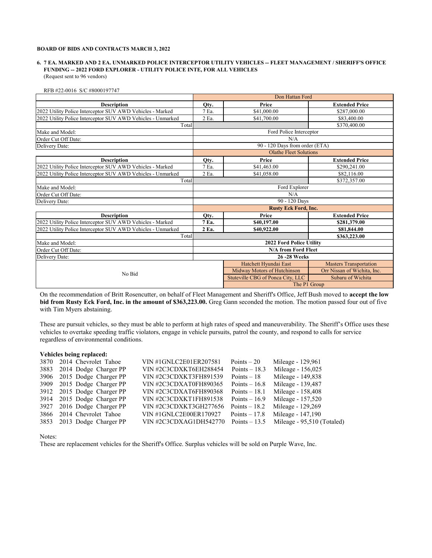#### **FUNDING -- 2022 FORD EXPLORER - UTILITY POLICE INTE, FOR ALL VEHICLES** (Request sent to 96 vendors) **6. 7 EA. MARKED AND 2 EA. UNMARKED POLICE INTERCEPTOR UTILITY VEHICLES -- FLEET MANAGEMENT / SHERIFF'S OFFICE**

| RFB #22-0016 S/C #8000197747 |  |
|------------------------------|--|
|------------------------------|--|

|                                                                    | Don Hattan Ford                        |                                   |                               |  |
|--------------------------------------------------------------------|----------------------------------------|-----------------------------------|-------------------------------|--|
| <b>Description</b>                                                 | Qty.                                   | Price                             | <b>Extended Price</b>         |  |
| 2022 Utility Police Interceptor SUV AWD Vehicles - Marked<br>7 Ea. |                                        | \$41,000.00                       | \$287,000.00                  |  |
| 2022 Utility Police Interceptor SUV AWD Vehicles - Unmarked        | 2 Ea.                                  | \$41,700.00                       | \$83,400.00                   |  |
| Total                                                              |                                        |                                   | \$370,400.00                  |  |
| Make and Model:                                                    |                                        | Ford Police Interceptor           |                               |  |
| Order Cut Off Date:                                                |                                        | N/A                               |                               |  |
| Delivery Date:                                                     |                                        | 90 - 120 Days from order (ETA)    |                               |  |
|                                                                    |                                        | <b>Olathe Fleet Solutions</b>     |                               |  |
| <b>Description</b>                                                 | Qty.                                   | Price                             | <b>Extended Price</b>         |  |
| 2022 Utility Police Interceptor SUV AWD Vehicles - Marked          | 7 Ea.                                  | \$41,463.00                       | \$290,241.00                  |  |
| 2022 Utility Police Interceptor SUV AWD Vehicles - Unmarked        | 2 Ea.                                  | \$41,058.00                       | \$82,116.00                   |  |
| Total                                                              | \$372,357.00                           |                                   |                               |  |
| Make and Model:                                                    | Ford Explorer                          |                                   |                               |  |
| Order Cut Off Date:                                                |                                        | N/A                               |                               |  |
| Delivery Date:                                                     | 90 - 120 Days                          |                                   |                               |  |
|                                                                    |                                        | <b>Rusty Eck Ford, Inc.</b>       |                               |  |
| <b>Description</b>                                                 | Price<br><b>Extended Price</b><br>Qty. |                                   |                               |  |
| 2022 Utility Police Interceptor SUV AWD Vehicles - Marked          | 7 Ea.<br>\$40,197.00<br>\$281,379.00   |                                   |                               |  |
| 2022 Utility Police Interceptor SUV AWD Vehicles - Unmarked        | 2 Ea.<br>\$40,922.00<br>\$81,844.00    |                                   |                               |  |
| Total                                                              |                                        |                                   | \$363,223.00                  |  |
| Make and Model:                                                    | <b>2022 Ford Police Utility</b>        |                                   |                               |  |
| Order Cut Off Date:                                                | <b>N/A from Ford Fleet</b>             |                                   |                               |  |
| Delivery Date:                                                     | <b>26-28 Weeks</b>                     |                                   |                               |  |
|                                                                    |                                        | Hatchett Hyundai East             | <b>Masters Transportation</b> |  |
| No Bid                                                             |                                        | Midway Motors of Hutchinson       | Orr Nissan of Wichita, Inc.   |  |
|                                                                    |                                        | Stuteville CBG of Ponca City, LLC | Subaru of Wichita             |  |
|                                                                    | The P1 Group                           |                                   |                               |  |

On the recommendation of Britt Rosencutter, on behalf of Fleet Management and Sheriff's Office, Jeff Bush moved to **accept the low bid from Rusty Eck Ford, Inc. in the amount of \$363,223.00.** Greg Gann seconded the motion. The motion passed four out of five with Tim Myers abstaining.

These are pursuit vehicles, so they must be able to perform at high rates of speed and maneuverability. The Sheriff's Office uses these vehicles to overtake speeding traffic violators, engage in vehicle pursuits, patrol the county, and respond to calls for service regardless of environmental conditions.

## **Vehicles being replaced:**

| 3870 | 2014 Chevrolet Tahoe       | VIN#1GNLC2E01ER207581         | Points $-20$   | Mileage - 129,961                         |
|------|----------------------------|-------------------------------|----------------|-------------------------------------------|
| 3883 | 2014 Dodge Charger PP      | VIN #2C3CDXKT6EH288454        | Points $-18.3$ | Mileage - 156,025                         |
|      | 3906 2015 Dodge Charger PP | VIN #2C3CDXKT3FH891539        | Points $-18$   | Mileage - 149,838                         |
|      | 3909 2015 Dodge Charger PP | VIN #2C3CDXAT0FH890365        | Points $-16.8$ | Mileage - 139,487                         |
|      | 3912 2015 Dodge Charger PP | <b>VIN #2C3CDXAT6FH890368</b> | Points $-18.1$ | Mileage - 158,408                         |
|      | 3914 2015 Dodge Charger PP | VIN #2C3CDXKT1FH891538        | Points $-16.9$ | Mileage - 157,520                         |
|      | 3927 2016 Dodge Charger PP | VIN #2C3CDXKT3GH277656        | Points $-18.2$ | Mileage - 129,269                         |
|      | 3866 2014 Chevrolet Tahoe  | VIN #1GNLC2E00ER170927        | Points $-17.8$ | Mileage - 147,190                         |
|      | 3853 2013 Dodge Charger PP | VIN #2C3CDXAG1DH542770        |                | Points $-13.5$ Mileage - 95,510 (Totaled) |
|      |                            |                               |                |                                           |

Notes:

These are replacement vehicles for the Sheriff's Office. Surplus vehicles will be sold on Purple Wave, Inc.